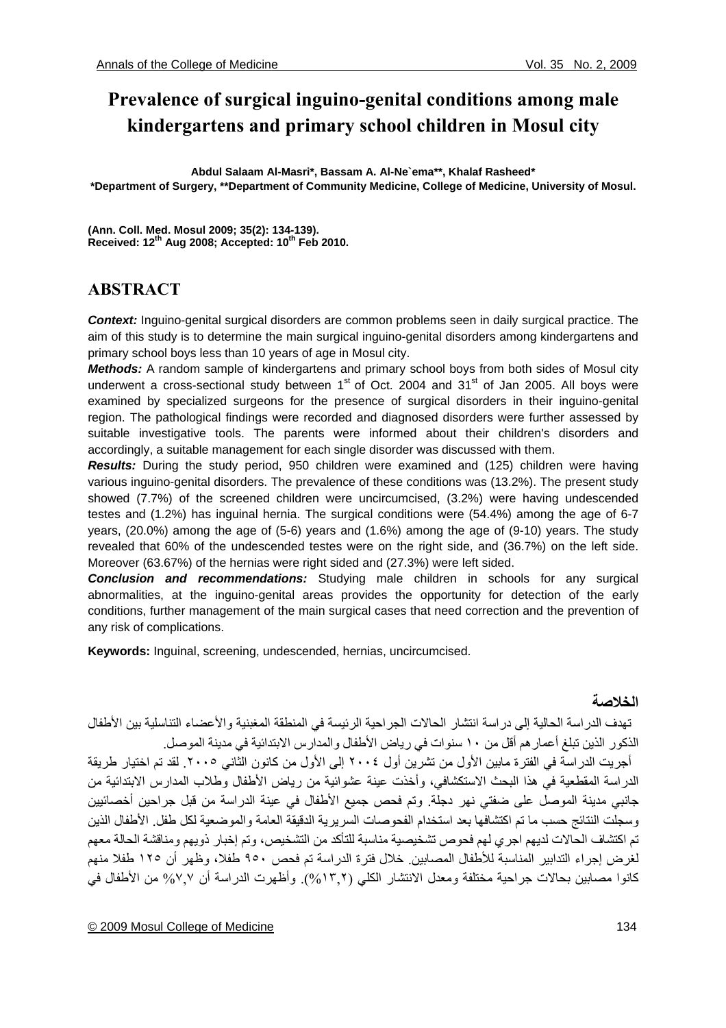# **Prevalence of surgical inguino-genital conditions among male kindergartens and primary school children in Mosul city**

**Abdul Salaam Al-Masri\*, Bassam A. Al-Ne`ema\*\*, Khalaf Rasheed\* \*Department of Surgery, \*\*Department of Community Medicine, College of Medicine, University of Mosul.** 

**(Ann. Coll. Med. Mosul 2009; 35(2): 134-139).**  Received: 12<sup>th</sup> Aug 2008; Accepted: 10<sup>th</sup> Feb 2010.

## **ABSTRACT**

*Context:* Inguino-genital surgical disorders are common problems seen in daily surgical practice. The aim of this study is to determine the main surgical inguino-genital disorders among kindergartens and primary school boys less than 10 years of age in Mosul city.

*Methods:* A random sample of kindergartens and primary school boys from both sides of Mosul city underwent a cross-sectional study between  $1<sup>st</sup>$  of Oct. 2004 and  $31<sup>st</sup>$  of Jan 2005. All boys were examined by specialized surgeons for the presence of surgical disorders in their inguino-genital region. The pathological findings were recorded and diagnosed disorders were further assessed by suitable investigative tools. The parents were informed about their children's disorders and accordingly, a suitable management for each single disorder was discussed with them.

*Results:* During the study period, 950 children were examined and (125) children were having various inguino-genital disorders. The prevalence of these conditions was (13.2%). The present study showed (7.7%) of the screened children were uncircumcised, (3.2%) were having undescended testes and (1.2%) has inguinal hernia. The surgical conditions were (54.4%) among the age of 6-7 years, (20.0%) among the age of (5-6) years and (1.6%) among the age of (9-10) years. The study revealed that 60% of the undescended testes were on the right side, and (36.7%) on the left side. Moreover (63.67%) of the hernias were right sided and (27.3%) were left sided.

*Conclusion and recommendations:* Studying male children in schools for any surgical abnormalities, at the inguino-genital areas provides the opportunity for detection of the early conditions, further management of the main surgical cases that need correction and the prevention of any risk of complications.

**Keywords:** Inguinal, screening, undescended, hernias, uncircumcised.

## **الخلاصة**

 تهدف الدراسة الحالية إلى دراسة انتشار الحالات الجراحية الرئيسة في المنطقة المغبنية والأعضاء التناسلية بين الأطفال الذكور الذين تبلغ أعمار هم أقل من ١٠ سنوات في رياض الأطفال والمدارس الابتدائية في مدينة الموصل.

 أجريت الدراسة في الفترة مابين الأول من تشرين أول ٢٠٠٤ إلى الأول من آانون الثاني .٢٠٠٥ لقد تم اختيار طريقة الدراسة المقطعية في هذا البحث الاستكشافي، وأخذت عينة عشوائية من رياض الأطفال وطلاب المدارس الابتدائية من جانبي مدينة الموصل على ضفتي نهر دجلة. وتم فحص جميع الأطفال في عينة الدراسة من قبل جراحين أخصائيين وسجلت النتائج حسب ما تم اكتشافها بعد استخدام الفحو صات السريرية الدقيقة العامة والموضعية لكل طفل. الأطفال الذين تم اكتشاف الحالات لديهم اجري لهم فحوص تشخيصية مناسبة للتأكد من التشخيص، وتم إخبار ذويهم ومناقشة الحالة معهم لغرض إجراء التدابير المناسبة للأطفال المصابين. خلال فترة الدراسة تم فحص ٩٥٠ طفلا، وظهر أن ١٢٥ طفلا منهم آانوا مصابين بحالات جراحية مختلفة ومعدل الانتشار الكلي (%١٣,٢). وأظهرت الدراسة أن %٧,٧ من الأطفال في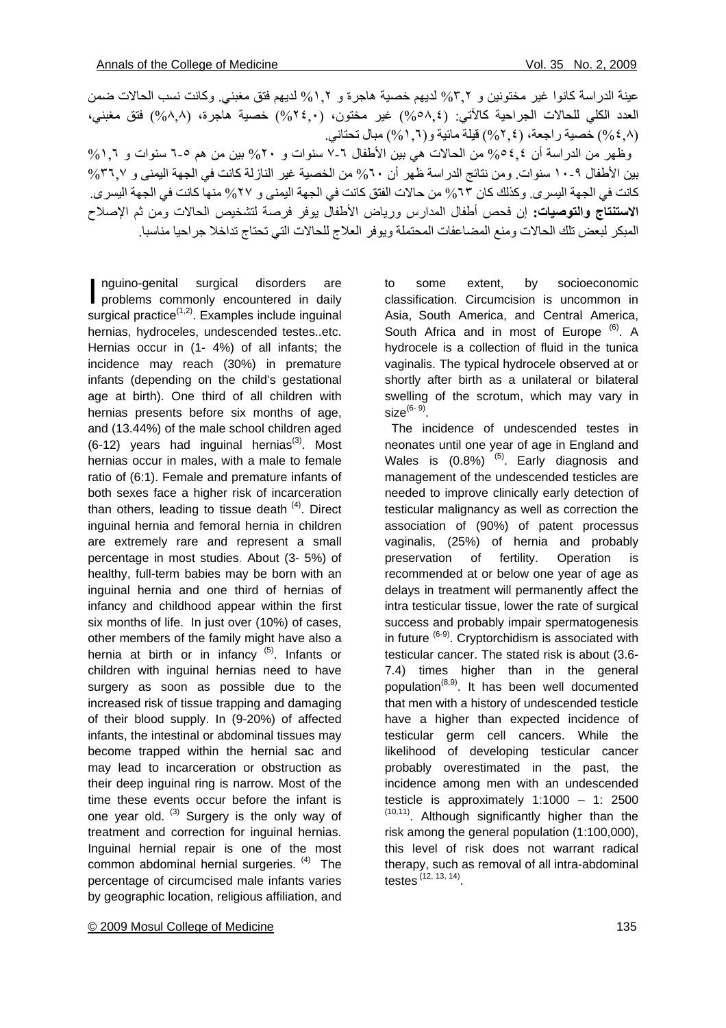عينة الدر اسة كانوا غير مختونين و ٣,٢% لديهم خصية هاجرة و ٢,١% لديهم فتق مغبني. وكانت نسب الحالات ضمن العدد الكلي للحالات الجراحية كالآتي: (0,00,٤) غير مختون، (٢٤,٠) خصية هاجرة، (٨,٨) فتق مغبني، (%٤,٨) خصية راجعة، (%٢,٤) قيلة مائية و(%١,٦) مبال تحتاني.

وظهر من الدراسة أن 526% من الحالات هي بين الأطفال ٦-٧ سنوات و ٢٠% بين من هم ٥-٦ سنوات و ١.٦% بين الأطفال ٩-١٠ سنوات. ومن نتائج الدراسة ظهر أن ٦٠% من الخصية غير النازلة كانت في الجهة اليمنى و ٣٦.٧% كانت في الجهة اليسرى. وكذلك كان ٦٣% من حالات الفتق كانت في الجهة اليمنى و ٢٧% منها كانت في الجهة اليسرى. **الاستنتاج والتوصيات:** إن فحص أطفال المدارس ورياض الأطفال يوفر فرصة لتشخيص الحالات ومن ثم الإصلاح المبكر لبعض تلك الحالات ومنع المضاعفات المحتملة ويوفر العلاج للحالات التي تحتاج تداخلا جراحيا مناسبا.

nguino-genital surgical disorders are nguino-genital surgical disorders are<br>problems commonly encountered in daily surgical practice $(1,2)$ . Examples include inguinal hernias, hydroceles, undescended testes..etc. Hernias occur in (1- 4%) of all infants; the incidence may reach (30%) in premature infants (depending on the child's gestational age at birth). One third of all children with hernias presents before six months of age, and (13.44%) of the male school children aged  $(6-12)$  years had inguinal hernias<sup>(3)</sup>. Most hernias occur in males, with a male to female ratio of (6:1). Female and premature infants of both sexes face a higher risk of incarceration than others, leading to tissue death  $(4)$ . Direct inguinal hernia and femoral hernia in children are extremely rare and represent a small percentage in most studies. About (3- 5%) of healthy, full-term babies may be born with an inguinal hernia and one third of hernias of infancy and childhood appear within the first six months of life. In just over (10%) of cases, other members of the family might have also a hernia at birth or in infancy  $(5)$ . Infants or children with inguinal hernias need to have surgery as soon as possible due to the increased risk of tissue trapping and damaging of their blood supply. In (9-20%) of affected infants, the intestinal or abdominal tissues may become trapped within the hernial sac and may lead to incarceration or obstruction as their deep inguinal ring is narrow. Most of the time these events occur before the infant is one year old.  $(3)$  Surgery is the only way of treatment and correction for inguinal hernias. Inguinal hernial repair is one of the most common abdominal hernial surgeries. (4) The percentage of circumcised male infants varies by geographic location, religious affiliation, and

© 2009 Mosul College of Medicine 135

to some extent, by socioeconomic classification. Circumcision is uncommon in Asia, South America, and Central America, South Africa and in most of Europe<sup>(6)</sup>. A hydrocele is a collection of fluid in the tunica vaginalis. The typical hydrocele observed at or shortly after birth as a unilateral or bilateral swelling of the scrotum, which may vary in size $^{(6-9)}$ .

 The incidence of undescended testes in neonates until one year of age in England and Wales is  $(0.8\%)$  <sup>(5)</sup>. Early diagnosis and management of the undescended testicles are needed to improve clinically early detection of testicular malignancy as well as correction the association of (90%) of patent processus vaginalis, (25%) of hernia and probably preservation of fertility. Operation is recommended at or below one year of age as delays in treatment will permanently affect the intra testicular tissue, lower the rate of surgical success and probably impair spermatogenesis in future <sup>(6-9)</sup>. Cryptorchidism is associated with testicular cancer. The stated risk is about (3.6- 7.4) times higher than in the general population<sup>(8,9)</sup>. It has been well documented that men with a history of undescended testicle have a higher than expected incidence of testicular germ cell cancers. While the likelihood of developing testicular cancer probably overestimated in the past, the incidence among men with an undescended testicle is approximately 1:1000 – 1: 2500 <sup>(10,11)</sup>. Although significantly higher than the risk among the general population (1:100,000), this level of risk does not warrant radical therapy, such as removal of all intra-abdominal testes (12, 13, 14).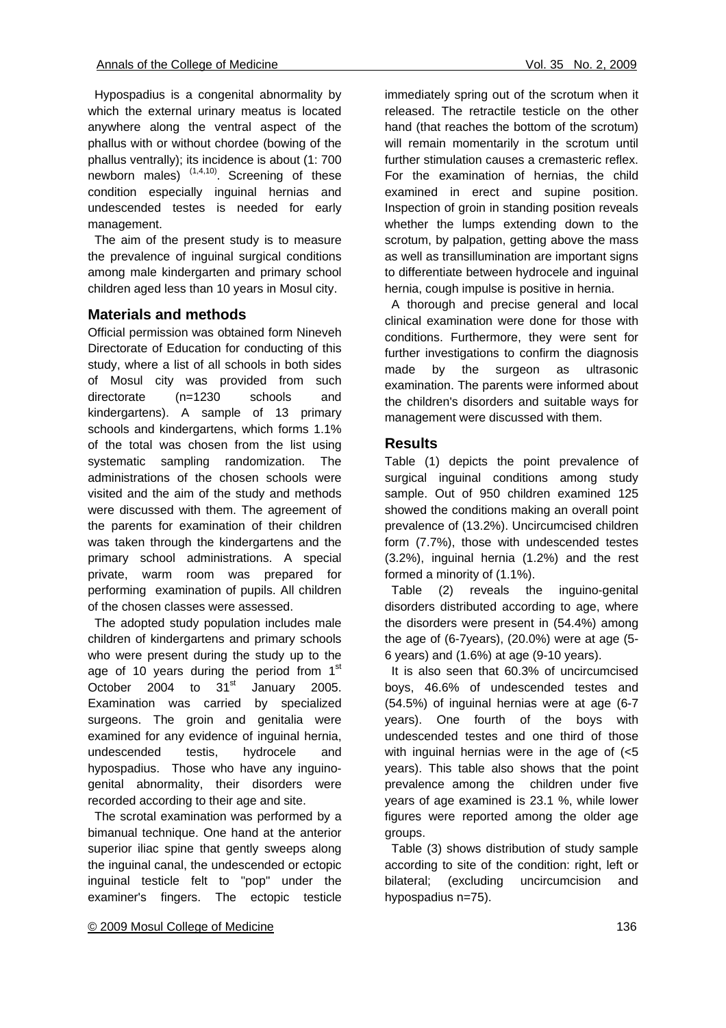Hypospadius is a congenital abnormality by which the external urinary meatus is located anywhere along the ventral aspect of the phallus with or without chordee (bowing of the phallus ventrally); its incidence is about (1: 700 newborn males)  $(1,4,10)$ . Screening of these condition especially inguinal hernias and undescended testes is needed for early management.

 The aim of the present study is to measure the prevalence of inguinal surgical conditions among male kindergarten and primary school children aged less than 10 years in Mosul city.

### **Materials and methods**

Official permission was obtained form Nineveh Directorate of Education for conducting of this study, where a list of all schools in both sides of Mosul city was provided from such directorate (n=1230 schools and kindergartens). A sample of 13 primary schools and kindergartens, which forms 1.1% of the total was chosen from the list using systematic sampling randomization. The administrations of the chosen schools were visited and the aim of the study and methods were discussed with them. The agreement of the parents for examination of their children was taken through the kindergartens and the primary school administrations. A special private, warm room was prepared for performing examination of pupils. All children of the chosen classes were assessed.

 The adopted study population includes male children of kindergartens and primary schools who were present during the study up to the age of 10 years during the period from  $1<sup>st</sup>$ October 2004 to  $31<sup>st</sup>$  January 2005. Examination was carried by specialized surgeons. The groin and genitalia were examined for any evidence of inguinal hernia, undescended testis, hydrocele and hypospadius. Those who have any inguinogenital abnormality, their disorders were recorded according to their age and site.

 The scrotal examination was performed by a bimanual technique. One hand at the anterior superior iliac spine that gently sweeps along the inguinal canal, the undescended or ectopic inguinal testicle felt to "pop" under the examiner's fingers. The ectopic testicle

immediately spring out of the scrotum when it released. The retractile testicle on the other hand (that reaches the bottom of the scrotum) will remain momentarily in the scrotum until further stimulation causes a cremasteric reflex. For the examination of hernias, the child examined in erect and supine position. Inspection of groin in standing position reveals whether the lumps extending down to the scrotum, by palpation, getting above the mass as well as transillumination are important signs to differentiate between hydrocele and inguinal hernia, cough impulse is positive in hernia.

 A thorough and precise general and local clinical examination were done for those with conditions. Furthermore, they were sent for further investigations to confirm the diagnosis made by the surgeon as ultrasonic examination. The parents were informed about the children's disorders and suitable ways for management were discussed with them.

#### **Results**

Table (1) depicts the point prevalence of surgical inguinal conditions among study sample. Out of 950 children examined 125 showed the conditions making an overall point prevalence of (13.2%). Uncircumcised children form (7.7%), those with undescended testes (3.2%), inguinal hernia (1.2%) and the rest formed a minority of (1.1%).

 Table (2) reveals the inguino-genital disorders distributed according to age, where the disorders were present in (54.4%) among the age of (6-7years), (20.0%) were at age (5- 6 years) and (1.6%) at age (9-10 years).

 It is also seen that 60.3% of uncircumcised boys, 46.6% of undescended testes and (54.5%) of inguinal hernias were at age (6-7 years). One fourth of the boys with undescended testes and one third of those with inguinal hernias were in the age of (<5 years). This table also shows that the point prevalence among the children under five years of age examined is 23.1 %, while lower figures were reported among the older age groups.

 Table (3) shows distribution of study sample according to site of the condition: right, left or bilateral; (excluding uncircumcision and hypospadius n=75).

#### © 2009 Mosul College of Medicine 136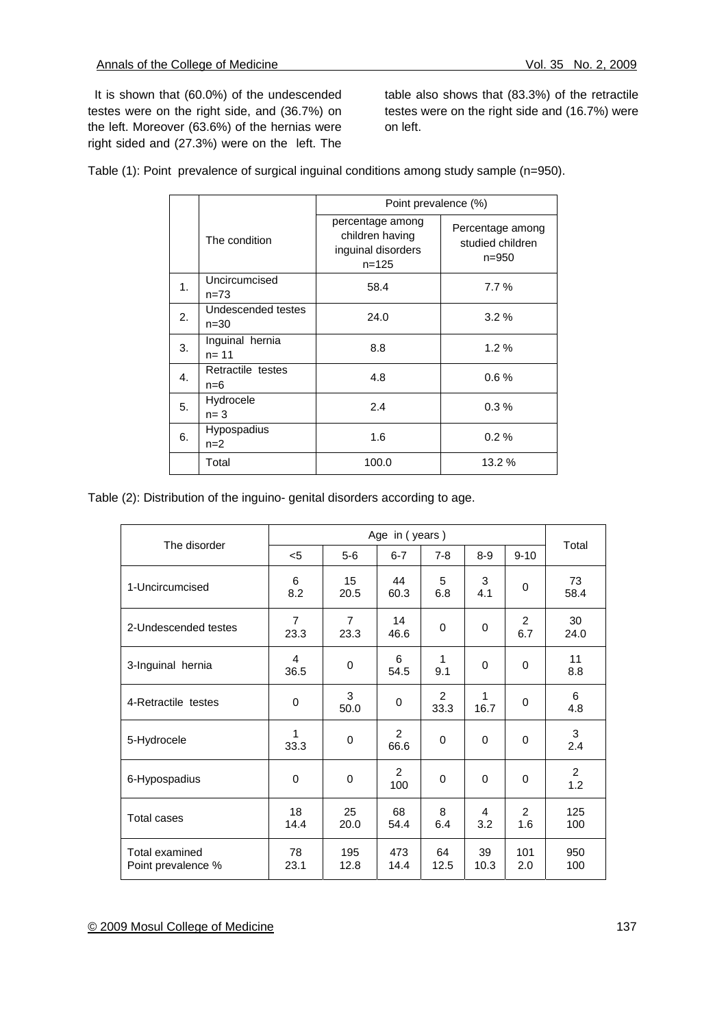It is shown that (60.0%) of the undescended testes were on the right side, and (36.7%) on the left. Moreover (63.6%) of the hernias were right sided and (27.3%) were on the left. The

table also shows that (83.3%) of the retractile testes were on the right side and (16.7%) were on left.

|  |  |  | Table (1): Point prevalence of surgical inguinal conditions among study sample (n=950). |
|--|--|--|-----------------------------------------------------------------------------------------|
|--|--|--|-----------------------------------------------------------------------------------------|

|                |                                | Point prevalence (%)                                                   |                                               |  |
|----------------|--------------------------------|------------------------------------------------------------------------|-----------------------------------------------|--|
|                | The condition                  | percentage among<br>children having<br>inguinal disorders<br>$n = 125$ | Percentage among<br>studied children<br>n=950 |  |
| 1 <sub>1</sub> | Uncircumcised<br>$n = 73$      | 58.4                                                                   | 7.7%                                          |  |
| 2.             | Undescended testes<br>$n = 30$ | 24.0                                                                   | $3.2\%$                                       |  |
| 3.             | Inguinal hernia<br>$n = 11$    | 8.8                                                                    | 1.2%                                          |  |
| 4.             | Retractile testes<br>$n=6$     | 4.8                                                                    | $0.6\%$                                       |  |
| 5.             | Hydrocele<br>$n = 3$           | 2.4                                                                    | $0.3\%$                                       |  |
| 6.             | Hypospadius<br>$n=2$           | 1.6                                                                    | 0.2%                                          |  |
|                | Total                          | 100.0                                                                  | 13.2 %                                        |  |

Table (2): Distribution of the inguino- genital disorders according to age.

| The disorder                         | Age in (years)         |                        |                        |             |            | Total      |            |  |
|--------------------------------------|------------------------|------------------------|------------------------|-------------|------------|------------|------------|--|
|                                      | $5$                    | $5-6$                  | $6 - 7$                | $7 - 8$     | $8 - 9$    | $9 - 10$   |            |  |
| 1-Uncircumcised                      | 6<br>8.2               | 15<br>20.5             | 44<br>60.3             | 5<br>6.8    | 3<br>4.1   | 0          | 73<br>58.4 |  |
| 2-Undescended testes                 | $\overline{7}$<br>23.3 | $\overline{7}$<br>23.3 | 14<br>46.6             | $\mathbf 0$ | 0          | 2<br>6.7   | 30<br>24.0 |  |
| 3-Inguinal hernia                    | 4<br>36.5              | $\mathbf 0$            | 6<br>54.5              | 1<br>9.1    | 0          | 0          | 11<br>8.8  |  |
| 4-Retractile testes                  | 0                      | 3<br>50.0              | 0                      | 2<br>33.3   | 1<br>16.7  | 0          | 6<br>4.8   |  |
| 5-Hydrocele                          | 1<br>33.3              | 0                      | $\mathfrak{p}$<br>66.6 | 0           | 0          | 0          | 3<br>2.4   |  |
| 6-Hypospadius                        | 0                      | 0                      | 2<br>100               | 0           | 0          | 0          | 2<br>1.2   |  |
| <b>Total cases</b>                   | 18<br>14.4             | 25<br>20.0             | 68<br>54.4             | 8<br>6.4    | 4<br>3.2   | 2<br>1.6   | 125<br>100 |  |
| Total examined<br>Point prevalence % | 78<br>23.1             | 195<br>12.8            | 473<br>14.4            | 64<br>12.5  | 39<br>10.3 | 101<br>2.0 | 950<br>100 |  |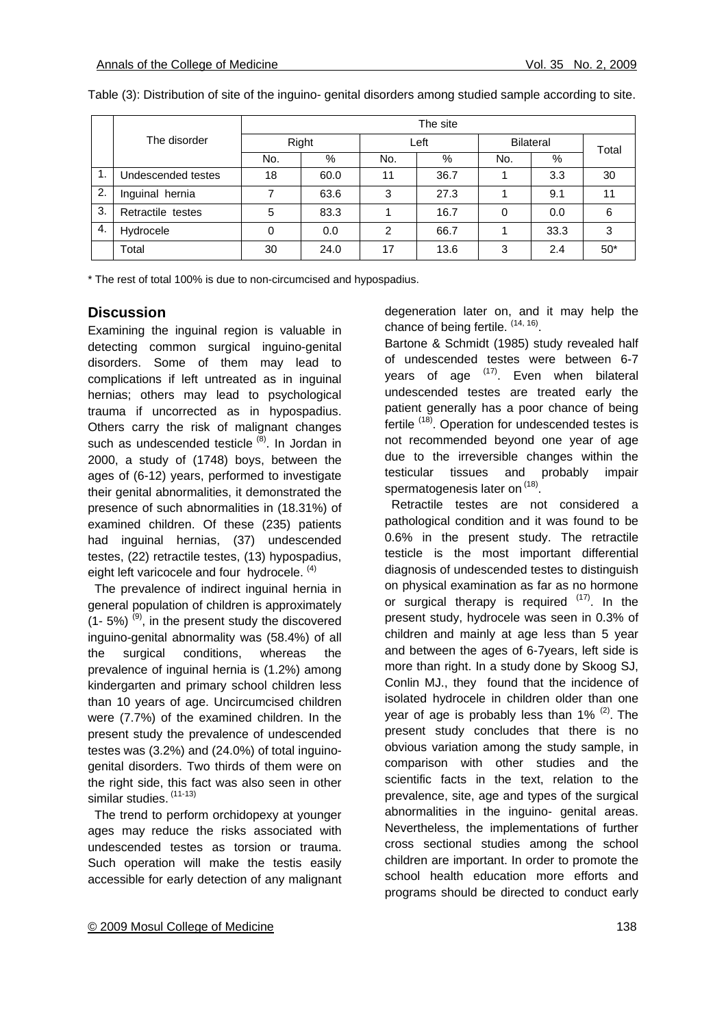|    |                    | The site |      |               |      |                  |      |       |  |
|----|--------------------|----------|------|---------------|------|------------------|------|-------|--|
|    | The disorder       | Right    |      | Left          |      | <b>Bilateral</b> |      | Total |  |
|    |                    | No.      | %    | No.           | %    | No.              | %    |       |  |
|    | Undescended testes | 18       | 60.0 | 11            | 36.7 |                  | 3.3  | 30    |  |
| 2. | Inguinal hernia    |          | 63.6 | 3             | 27.3 |                  | 9.1  | 11    |  |
| 3. | Retractile testes  | 5        | 83.3 |               | 16.7 | 0                | 0.0  | 6     |  |
| 4. | Hydrocele          | 0        | 0.0  | $\mathcal{P}$ | 66.7 |                  | 33.3 | 3     |  |
|    | Total              | 30       | 24.0 | 17            | 13.6 | 3                | 2.4  | $50*$ |  |

Table (3): Distribution of site of the inguino- genital disorders among studied sample according to site.

\* The rest of total 100% is due to non-circumcised and hypospadius.

#### **Discussion**

Examining the inguinal region is valuable in detecting common surgical inguino-genital disorders. Some of them may lead to complications if left untreated as in inguinal hernias; others may lead to psychological trauma if uncorrected as in hypospadius. Others carry the risk of malignant changes such as undescended testicle<sup>(8)</sup>. In Jordan in 2000, a study of (1748) boys, between the ages of (6-12) years, performed to investigate their genital abnormalities, it demonstrated the presence of such abnormalities in (18.31%) of examined children. Of these (235) patients had inguinal hernias, (37) undescended testes, (22) retractile testes, (13) hypospadius, eight left varicocele and four hydrocele.  $(4)$ 

 The prevalence of indirect inguinal hernia in general population of children is approximately  $(1-5%)$  (9), in the present study the discovered inguino-genital abnormality was (58.4%) of all the surgical conditions, whereas the prevalence of inguinal hernia is (1.2%) among kindergarten and primary school children less than 10 years of age. Uncircumcised children were (7.7%) of the examined children. In the present study the prevalence of undescended testes was (3.2%) and (24.0%) of total inguinogenital disorders. Two thirds of them were on the right side, this fact was also seen in other similar studies. (11-13)

 The trend to perform orchidopexy at younger ages may reduce the risks associated with undescended testes as torsion or trauma. Such operation will make the testis easily accessible for early detection of any malignant degeneration later on, and it may help the chance of being fertile.  $(14, 16)$ .

Bartone & Schmidt (1985) study revealed half of undescended testes were between 6-7 years of age  $(17)$ . Even when bilateral undescended testes are treated early the patient generally has a poor chance of being fertile <sup>(18)</sup>. Operation for undescended testes is not recommended beyond one year of age due to the irreversible changes within the testicular tissues and probably impair spermatogenesis later on (18).

 Retractile testes are not considered a pathological condition and it was found to be 0.6% in the present study. The retractile testicle is the most important differential diagnosis of undescended testes to distinguish on physical examination as far as no hormone or surgical therapy is required <sup>(17)</sup>. In the present study, hydrocele was seen in 0.3% of children and mainly at age less than 5 year and between the ages of 6-7years, left side is more than right. In a study done by Skoog SJ, Conlin MJ., they found that the incidence of isolated hydrocele in children older than one year of age is probably less than  $1\%$   $(2)$ . The present study concludes that there is no obvious variation among the study sample, in comparison with other studies and the scientific facts in the text, relation to the prevalence, site, age and types of the surgical abnormalities in the inguino- genital areas. Nevertheless, the implementations of further cross sectional studies among the school children are important. In order to promote the school health education more efforts and programs should be directed to conduct early